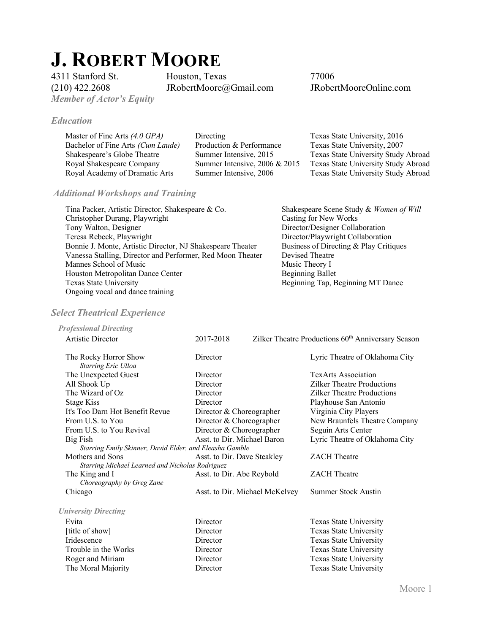# **J. ROBERT MOORE**<br>4311 Stanford St. Houston, Texas

*Member of Actor's Equity* 

*Education*

4311 Stanford St. Houston, Texas 77006<br>
(210) 422.2608 JRobertMoore@Gmail.com JRobertMooreOnline.com  $(210)$  422.2608 JRobertMoore@Gmail.com

| Directing                        | Texas State University, 2016        |
|----------------------------------|-------------------------------------|
| Production & Performance         | Texas State University, 2007        |
| Summer Intensive, 2015           | Texas State University Study Abroad |
| Summer Intensive, $2006 \& 2015$ | Texas State University Study Abroad |
| Summer Intensive, 2006           | Texas State University Study Abroad |
|                                  |                                     |

# *Additional Workshops and Training*

| Tina Packer, Artistic Director, Shakespeare & Co.          | Shakespeare Scene Study & Women of Will |
|------------------------------------------------------------|-----------------------------------------|
| Christopher Durang, Playwright                             | Casting for New Works                   |
| Tony Walton, Designer                                      | Director/Designer Collaboration         |
| Teresa Rebeck, Playwright                                  | Director/Playwright Collaboration       |
| Bonnie J. Monte, Artistic Director, NJ Shakespeare Theater | Business of Directing & Play Critiques  |
| Vanessa Stalling, Director and Performer, Red Moon Theater | Devised Theatre                         |
| Mannes School of Music                                     | Music Theory I                          |
| Houston Metropolitan Dance Center                          | <b>Beginning Ballet</b>                 |
| Texas State University                                     | Beginning Tap, Beginning MT Dance       |
| Ongoing vocal and dance training                           |                                         |

# *Select Theatrical Experience*

| <b>Professional Directing</b>                           |                                |                                                                |
|---------------------------------------------------------|--------------------------------|----------------------------------------------------------------|
| Artistic Director                                       | 2017-2018                      | Zilker Theatre Productions 60 <sup>th</sup> Anniversary Season |
| The Rocky Horror Show<br>Starring Eric Ulloa            | Director                       | Lyric Theatre of Oklahoma City                                 |
| The Unexpected Guest                                    | Director                       | <b>TexArts Association</b>                                     |
| All Shook Up                                            | Director                       | Zilker Theatre Productions                                     |
| The Wizard of Oz                                        | Director                       | <b>Zilker Theatre Productions</b>                              |
| <b>Stage Kiss</b>                                       | Director                       | Playhouse San Antonio                                          |
| It's Too Darn Hot Benefit Revue                         | Director & Choreographer       | Virginia City Players                                          |
| From U.S. to You                                        | Director & Choreographer       | New Braunfels Theatre Company                                  |
| From U.S. to You Revival                                | Director & Choreographer       | Seguin Arts Center                                             |
| Big Fish                                                | Asst. to Dir. Michael Baron    | Lyric Theatre of Oklahoma City                                 |
| Starring Emily Skinner, David Elder, and Eleasha Gamble |                                |                                                                |
| Mothers and Sons                                        | Asst. to Dir. Dave Steakley    | <b>ZACH</b> Theatre                                            |
| Starring Michael Learned and Nicholas Rodriguez         |                                |                                                                |
| The King and I                                          | Asst. to Dir. Abe Reybold      | <b>ZACH</b> Theatre                                            |
| Choreography by Greg Zane                               |                                |                                                                |
| Chicago                                                 | Asst. to Dir. Michael McKelvey | <b>Summer Stock Austin</b>                                     |
| <b>University Directing</b>                             |                                |                                                                |
| Evita                                                   | Director                       | Texas State University                                         |
| [title of show]                                         | Director                       | Texas State University                                         |
| Iridescence                                             | Director                       | Texas State University                                         |
| Trouble in the Works                                    | Director                       | Texas State University                                         |
| Roger and Miriam                                        | Director                       | Texas State University                                         |
| The Moral Majority                                      | Director                       | Texas State University                                         |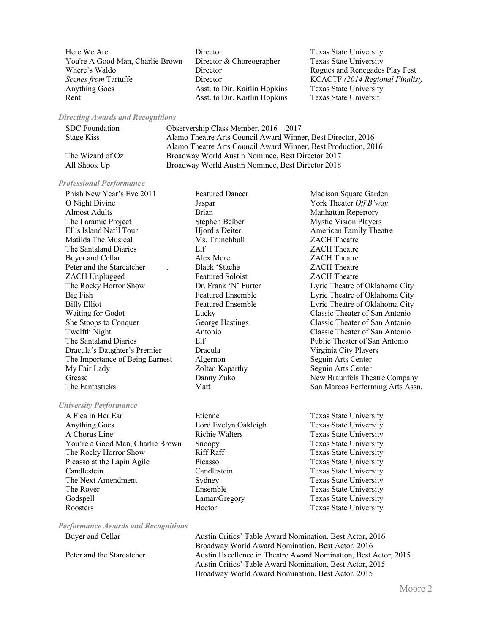Here We Are **Texas** State University **Texas** State University You're A Good Man, Charlie Brown Director & Choreographer Texas State University Where's Waldo **Director** Director Rogues and Renegades Play Fest *Scenes from* Tartuffe **Director** Director **KCACTF** *(2014 Regional Finalist)*<br>Anything Goes Asst. to Dir. Kaitlin Hopkins Texas State University Rent Asst. to Dir. Kaitlin Hopkins Texas State Universit

Asst. to Dir. Kaitlin Hopkins Texas State University

## *Directing Awards and Recognitions*

| SDC Foundation   | Observership Class Member, $2016 - 2017$                       |
|------------------|----------------------------------------------------------------|
| Stage Kiss       | Alamo Theatre Arts Council Award Winner, Best Director, 2016   |
|                  | Alamo Theatre Arts Council Award Winner, Best Production, 2016 |
| The Wizard of Oz | Broadway World Austin Nominee, Best Director 2017              |
| All Shook Up     | Broadway World Austin Nominee, Best Director 2018              |

#### *Professional Performance*

Phish New Year's Eve 2011 Featured Dancer Feature Madison Square Garden O Night Divine Jaspar York Theater *Off B'way*  Almost Adults **Brian** Brian Manhattan Repertory The Laramie Project **Stephen Belber** Mystic Vision Players Ellis Island Nat'l Tour **Hiordis Deiter** American Family Theatre Matilda The Musical Ms. Trunchbull ZACH Theatre The Santaland Diaries Elf ZACH Theatre Buyer and Cellar **Alex More CACH Theatre** *CACH Theatre* Peter and the Starcatcher . Black 'Stache ZACH Theatre ZACH Unplugged Featured Soloist ZACH Theatre The Rocky Horror Show Dr. Frank 'N' Furter Lyric Theatre of Oklahoma City Big Fish Featured Ensemble Lyric Theatre of Oklahoma City Billy Elliot Featured Ensemble Lyric Theatre of Oklahoma City Waiting for Godot **Lucky** Lucky **Classic Theater of San Antonio** She Stoops to Conquer George Hastings Classic Theater of San Antonio Twelfth Night<br>
The Santaland Diaries<br>
The Santaland Diaries<br>
Elf

Elf

Classic Theater of San Antonio Dracula's Daughter's Premier Dracula Virginia City Players The Importance of Being Earnest Algernon Seguin Arts Center My Fair Lady **Seguin Arts Center** Zoltan Kaparthy **Seguin Arts Center** 

### *University Performance*

A Flea in Her Ear **Exas State University** Etienne Texas State University Anything Goes **Lord Evelyn Oakleigh** Texas State University A Chorus Line Texas State University Richie Walters Texas State University You're a Good Man, Charlie Brown Snoopy Texas State University The Rocky Horror Show Riff Raff Texas State University Picasso at the Lapin Agile Picasso Picasso Texas State University Candlestein Candlestein Texas State University The Next Amendment Sydney Sydney Texas State University The Rover **Ensemble** Ensemble Texas State University Godspell Lamar/Gregory Texas State University Roosters **Texas State University** Hector **Texas State University** 

Elf Public Theater of San Antonio Grease **Danny Zuko** New Braunfels Theatre Company The Fantasticks Matt Matt San Marcos Performing Arts Assn.

*Performance Awards and Recognitions*

Buyer and Cellar **Austin Critics' Table Award Nomination**, Best Actor, 2016 Broadway World Award Nomination, Best Actor, 2016 Peter and the Starcatcher **Austin Excellence in Theatre Award Nomination**, Best Actor, 2015 Austin Critics' Table Award Nomination, Best Actor, 2015 Broadway World Award Nomination, Best Actor, 2015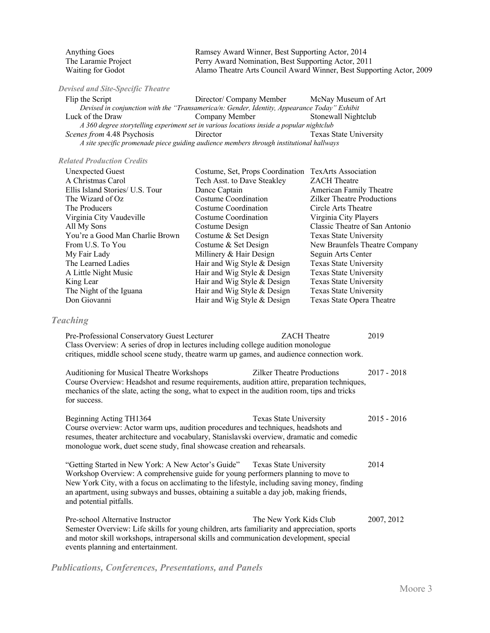| <b>Anything Goes</b> | Ramsey Award Winner, Best Supporting Actor, 2014                     |
|----------------------|----------------------------------------------------------------------|
| The Laramie Project  | Perry Award Nomination, Best Supporting Actor, 2011                  |
| Waiting for Godot    | Alamo Theatre Arts Council Award Winner, Best Supporting Actor, 2009 |

*Devised and Site-Specific Theatre* 

| Flip the Script                                                                              | Director/ Company Member | McNay Museum of Art    |  |  |
|----------------------------------------------------------------------------------------------|--------------------------|------------------------|--|--|
| Devised in conjunction with the "Transamerica/n: Gender, Identity, Appearance Today" Exhibit |                          |                        |  |  |
| Luck of the Draw                                                                             | Company Member           | Stonewall Nightclub    |  |  |
| A 360 degree storytelling experiment set in various locations inside a popular nightclub     |                          |                        |  |  |
| Scenes from 4.48 Psychosis                                                                   | Director                 | Texas State University |  |  |
| A site specific promenade piece guiding audience members through institutional hallways      |                          |                        |  |  |

## *Related Production Credits*

| <b>Unexpected Guest</b>         | Costume, Set, Props Coordination TexArts Association |                                   |
|---------------------------------|------------------------------------------------------|-----------------------------------|
| A Christmas Carol               | Tech Asst. to Dave Steakley                          | <b>ZACH</b> Theatre               |
| Ellis Island Stories/ U.S. Tour | Dance Captain                                        | American Family Theatre           |
| The Wizard of Oz                | Costume Coordination                                 | <b>Zilker Theatre Productions</b> |
| The Producers                   | Costume Coordination                                 | Circle Arts Theatre               |
| Virginia City Vaudeville        | Costume Coordination                                 | Virginia City Players             |
| All My Sons                     | Costume Design                                       | Classic Theatre of San Antonio    |
| You're a Good Man Charlie Brown | Costume & Set Design                                 | Texas State University            |
| From U.S. To You                | Costume & Set Design                                 | New Braunfels Theatre Company     |
| My Fair Lady                    | Millinery & Hair Design                              | Seguin Arts Center                |
| The Learned Ladies              | Hair and Wig Style & Design                          | Texas State University            |
| A Little Night Music            | Hair and Wig Style & Design                          | Texas State University            |
| King Lear                       | Hair and Wig Style & Design                          | Texas State University            |
| The Night of the Iguana         | Hair and Wig Style & Design                          | Texas State University            |
| Don Giovanni                    | Hair and Wig Style & Design                          | Texas State Opera Theatre         |
|                                 |                                                      |                                   |

## *Teaching*

and potential pitfalls.

| Pre-Professional Conservatory Guest Lecturer                                               | <b>ZACH</b> Theatre | 2019 |
|--------------------------------------------------------------------------------------------|---------------------|------|
| Class Overview: A series of drop in lectures including college audition monologue          |                     |      |
| critiques, middle school scene study, theatre warm up games, and audience connection work. |                     |      |

Auditioning for Musical Theatre Workshops Zilker Theatre Productions 2017 - 2018 Course Overview: Headshot and resume requirements, audition attire, preparation techniques, mechanics of the slate, acting the song, what to expect in the audition room, tips and tricks for success.

| Beginning Acting TH1364                                                                                                                                                | Texas State University | 2015 - 2016 |
|------------------------------------------------------------------------------------------------------------------------------------------------------------------------|------------------------|-------------|
| Course overview: Actor warm ups, audition procedures and techniques, headshots and                                                                                     |                        |             |
| resumes, theater architecture and vocabulary, Stanislavski overview, dramatic and comedic<br>monologue work, duet scene study, final showcase creation and rehearsals. |                        |             |
| "Getting Started in New York: A New Actor's Guide"                                                                                                                     | Texas State University | 2014        |
| Workshop Overview: A comprehensive guide for young performers planning to move to                                                                                      |                        |             |
| New York City, with a focus on acclimating to the lifestyle, including saving money, finding                                                                           |                        |             |

Pre-school Alternative Instructor The New York Kids Club 2007, 2012 Semester Overview: Life skills for young children, arts familiarity and appreciation, sports and motor skill workshops, intrapersonal skills and communication development, special events planning and entertainment.

an apartment, using subways and busses, obtaining a suitable a day job, making friends,

*Publications, Conferences, Presentations, and Panels*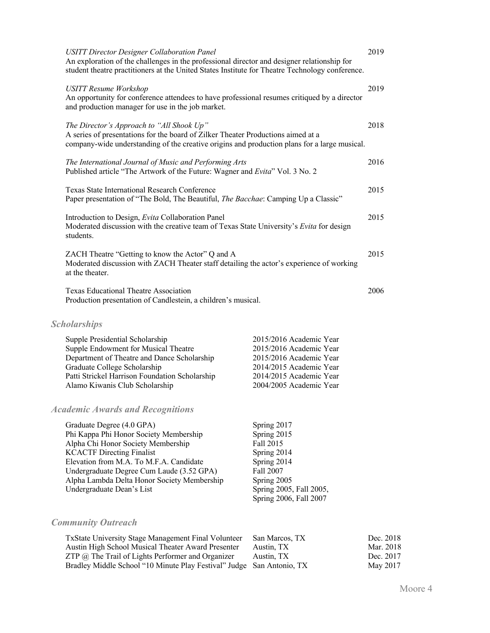| <b>USITT Director Designer Collaboration Panel</b><br>An exploration of the challenges in the professional director and designer relationship for<br>student theatre practitioners at the United States Institute for Theatre Technology conference.                                                              |                                                                                                                                                                | 2019                   |
|-------------------------------------------------------------------------------------------------------------------------------------------------------------------------------------------------------------------------------------------------------------------------------------------------------------------|----------------------------------------------------------------------------------------------------------------------------------------------------------------|------------------------|
| <b>USITT Resume Workshop</b><br>An opportunity for conference attendees to have professional resumes critiqued by a director<br>and production manager for use in the job market.                                                                                                                                 |                                                                                                                                                                | 2019                   |
| The Director's Approach to "All Shook Up"<br>A series of presentations for the board of Zilker Theater Productions aimed at a<br>company-wide understanding of the creative origins and production plans for a large musical.                                                                                     |                                                                                                                                                                | 2018                   |
| The International Journal of Music and Performing Arts<br>Published article "The Artwork of the Future: Wagner and Evita" Vol. 3 No. 2                                                                                                                                                                            |                                                                                                                                                                | 2016                   |
| Texas State International Research Conference<br>Paper presentation of "The Bold, The Beautiful, The Bacchae: Camping Up a Classic"                                                                                                                                                                               |                                                                                                                                                                | 2015                   |
| Introduction to Design, Evita Collaboration Panel<br>Moderated discussion with the creative team of Texas State University's Evita for design<br>students.                                                                                                                                                        |                                                                                                                                                                | 2015                   |
| ZACH Theatre "Getting to know the Actor" Q and A<br>Moderated discussion with ZACH Theater staff detailing the actor's experience of working<br>at the theater.                                                                                                                                                   |                                                                                                                                                                | 2015                   |
| Texas Educational Theatre Association<br>Production presentation of Candlestein, a children's musical.                                                                                                                                                                                                            |                                                                                                                                                                | 2006                   |
| <b>Scholarships</b>                                                                                                                                                                                                                                                                                               |                                                                                                                                                                |                        |
| Supple Presidential Scholarship<br>Supple Endowment for Musical Theatre<br>Department of Theatre and Dance Scholarship<br>Graduate College Scholarship<br>Patti Strickel Harrison Foundation Scholarship<br>Alamo Kiwanis Club Scholarship                                                                        | 2015/2016 Academic Year<br>2015/2016 Academic Year<br>2015/2016 Academic Year<br>2014/2015 Academic Year<br>2014/2015 Academic Year<br>2004/2005 Academic Year |                        |
| <b>Academic Awards and Recognitions</b>                                                                                                                                                                                                                                                                           |                                                                                                                                                                |                        |
| Graduate Degree (4.0 GPA)<br>Phi Kappa Phi Honor Society Membership<br>Alpha Chi Honor Society Membership<br><b>KCACTF Directing Finalist</b><br>Elevation from M.A. To M.F.A. Candidate<br>Undergraduate Degree Cum Laude (3.52 GPA)<br>Alpha Lambda Delta Honor Society Membership<br>Undergraduate Dean's List | Spring 2017<br>Spring 2015<br>Fall 2015<br>Spring 2014<br>Spring 2014<br>Fall 2007<br>Spring 2005<br>Spring 2005, Fall 2005,<br>Spring 2006, Fall 2007         |                        |
| <b>Community Outreach</b>                                                                                                                                                                                                                                                                                         |                                                                                                                                                                |                        |
| TxState University Stage Management Final Volunteer<br>Austin High School Musical Theater Award Presenter                                                                                                                                                                                                         | San Marcos, TX<br>Austin, TX                                                                                                                                   | Dec. 2018<br>Mar. 2018 |

ZTP @ The Trail of Lights Performer and Organizer Austin, TX Dec. 2017 Bradley Middle School "10 Minute Play Festival" Judge San Antonio, TX May 2017